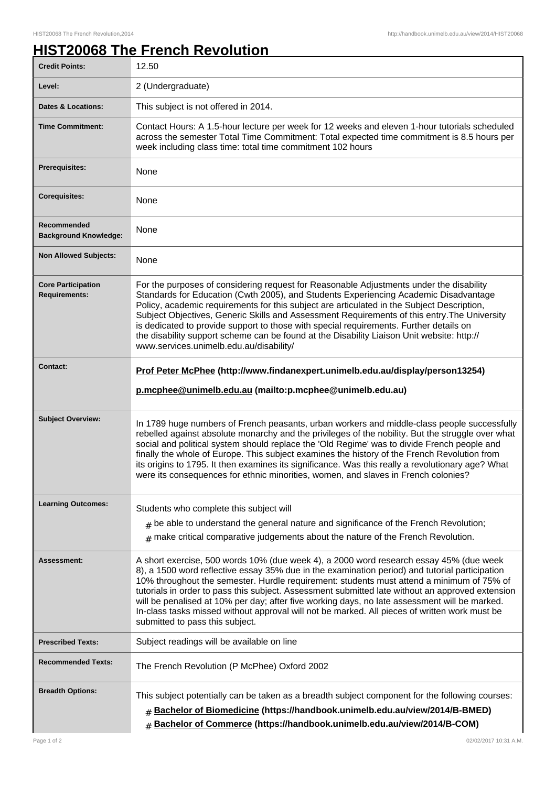## **HIST20068 The French Revolution**

| <b>Credit Points:</b>                             | 12.50                                                                                                                                                                                                                                                                                                                                                                                                                                                                                                                                                                                                                          |
|---------------------------------------------------|--------------------------------------------------------------------------------------------------------------------------------------------------------------------------------------------------------------------------------------------------------------------------------------------------------------------------------------------------------------------------------------------------------------------------------------------------------------------------------------------------------------------------------------------------------------------------------------------------------------------------------|
| Level:                                            | 2 (Undergraduate)                                                                                                                                                                                                                                                                                                                                                                                                                                                                                                                                                                                                              |
| <b>Dates &amp; Locations:</b>                     | This subject is not offered in 2014.                                                                                                                                                                                                                                                                                                                                                                                                                                                                                                                                                                                           |
| <b>Time Commitment:</b>                           | Contact Hours: A 1.5-hour lecture per week for 12 weeks and eleven 1-hour tutorials scheduled<br>across the semester Total Time Commitment: Total expected time commitment is 8.5 hours per<br>week including class time: total time commitment 102 hours                                                                                                                                                                                                                                                                                                                                                                      |
| <b>Prerequisites:</b>                             | None                                                                                                                                                                                                                                                                                                                                                                                                                                                                                                                                                                                                                           |
| <b>Corequisites:</b>                              | None                                                                                                                                                                                                                                                                                                                                                                                                                                                                                                                                                                                                                           |
| Recommended<br><b>Background Knowledge:</b>       | None                                                                                                                                                                                                                                                                                                                                                                                                                                                                                                                                                                                                                           |
| <b>Non Allowed Subjects:</b>                      | None                                                                                                                                                                                                                                                                                                                                                                                                                                                                                                                                                                                                                           |
| <b>Core Participation</b><br><b>Requirements:</b> | For the purposes of considering request for Reasonable Adjustments under the disability<br>Standards for Education (Cwth 2005), and Students Experiencing Academic Disadvantage<br>Policy, academic requirements for this subject are articulated in the Subject Description,<br>Subject Objectives, Generic Skills and Assessment Requirements of this entry. The University<br>is dedicated to provide support to those with special requirements. Further details on<br>the disability support scheme can be found at the Disability Liaison Unit website: http://<br>www.services.unimelb.edu.au/disability/               |
| <b>Contact:</b>                                   | Prof Peter McPhee (http://www.findanexpert.unimelb.edu.au/display/person13254)                                                                                                                                                                                                                                                                                                                                                                                                                                                                                                                                                 |
|                                                   | p.mcphee@unimelb.edu.au (mailto:p.mcphee@unimelb.edu.au)                                                                                                                                                                                                                                                                                                                                                                                                                                                                                                                                                                       |
| <b>Subject Overview:</b>                          | In 1789 huge numbers of French peasants, urban workers and middle-class people successfully<br>rebelled against absolute monarchy and the privileges of the nobility. But the struggle over what<br>social and political system should replace the 'Old Regime' was to divide French people and<br>finally the whole of Europe. This subject examines the history of the French Revolution from<br>its origins to 1795. It then examines its significance. Was this really a revolutionary age? What<br>were its consequences for ethnic minorities, women, and slaves in French colonies?                                     |
| <b>Learning Outcomes:</b>                         | Students who complete this subject will                                                                                                                                                                                                                                                                                                                                                                                                                                                                                                                                                                                        |
|                                                   | $#$ be able to understand the general nature and significance of the French Revolution;                                                                                                                                                                                                                                                                                                                                                                                                                                                                                                                                        |
|                                                   | $#$ make critical comparative judgements about the nature of the French Revolution.                                                                                                                                                                                                                                                                                                                                                                                                                                                                                                                                            |
| Assessment:                                       | A short exercise, 500 words 10% (due week 4), a 2000 word research essay 45% (due week<br>8), a 1500 word reflective essay 35% due in the examination period) and tutorial participation<br>10% throughout the semester. Hurdle requirement: students must attend a minimum of 75% of<br>tutorials in order to pass this subject. Assessment submitted late without an approved extension<br>will be penalised at 10% per day; after five working days, no late assessment will be marked.<br>In-class tasks missed without approval will not be marked. All pieces of written work must be<br>submitted to pass this subject. |
| <b>Prescribed Texts:</b>                          | Subject readings will be available on line                                                                                                                                                                                                                                                                                                                                                                                                                                                                                                                                                                                     |
| <b>Recommended Texts:</b>                         | The French Revolution (P McPhee) Oxford 2002                                                                                                                                                                                                                                                                                                                                                                                                                                                                                                                                                                                   |
| <b>Breadth Options:</b>                           | This subject potentially can be taken as a breadth subject component for the following courses:<br><b># Bachelor of Biomedicine (https://handbook.unimelb.edu.au/view/2014/B-BMED)</b><br># Bachelor of Commerce (https://handbook.unimelb.edu.au/view/2014/B-COM)                                                                                                                                                                                                                                                                                                                                                             |